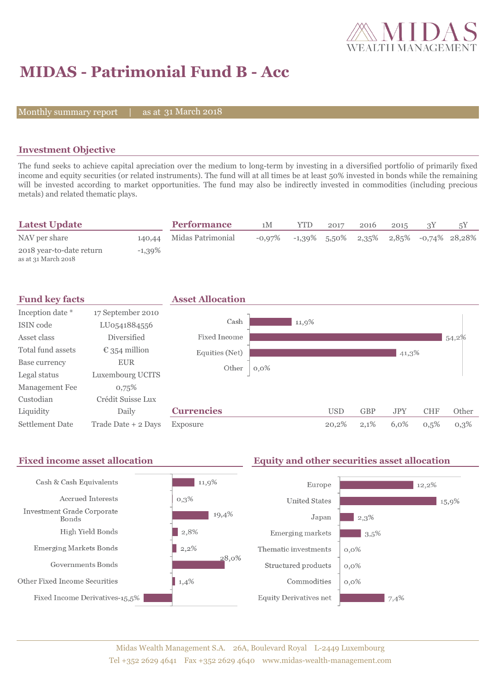

## **MIDAS - Patrimonial Fund B - Acc**

Monthly summary report

31 March 2018

### **Investment Objective**

The fund seeks to achieve capital apreciation over the medium to long-term by investing in a diversified portfolio of primarily fixed income and equity securities (or related instruments). The fund will at all times be at least 50% invested in bonds while the remaining will be invested according to market opportunities. The fund may also be indirectly invested in commodities (including precious metals) and related thematic plays.

| <b>Latest Update</b>                            |           | <b>Performance</b> | 1M        | <b>YTD</b> | 2017            | 2016  | 2015 |                     |  |
|-------------------------------------------------|-----------|--------------------|-----------|------------|-----------------|-------|------|---------------------|--|
| NAV per share                                   | 140,44    | Midas Patrimonial  | $-0.97\%$ |            | $-1,39\%$ 5,50% | 2,35% |      | 2,85% -0,74% 28,28% |  |
| 2018 year-to-date return<br>as at 31 March 2018 | $-1,39\%$ |                    |           |            |                 |       |      |                     |  |



#### **Fixed income asset allocation Equity and other securities asset allocation** Cash & Cash Equivalents  $11,9%$ Europe 12.2% Accrued Interests  $0,3\%$ **United States** 15,9% **Investment Grade Corporate** 19,4%  $2.3%$ Japan **Bonds** High Yield Bonds  $\vert$  2,8% Emerging markets  $3,5%$ **Emerging Markets Bonds**  $2,2%$ Thematic investments  $0.0\%$ 28.0% Governments Bonds Structured products  $0.0\%$ Other Fixed Income Securities 1,4% Commodities  $0.0\%$ Fixed Income Derivatives-15,5% **Equity Derivatives net**  $7,4%$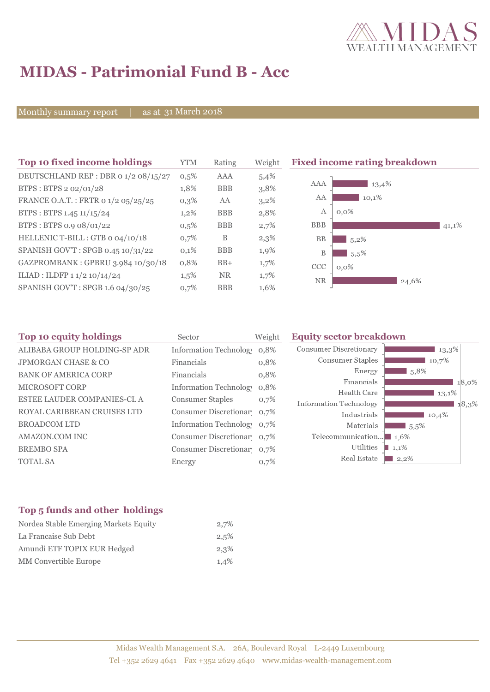

# **MIDAS - Patrimonial Fund B - Acc**

Monthly summary report | as at 31 March 2018

| Top 10 fixed income holdings         | YTM     | Rating     | Weight  | <b>Fixed income rating breakdown</b> |
|--------------------------------------|---------|------------|---------|--------------------------------------|
| DEUTSCHLAND REP : DBR 0 1/2 08/15/27 | 0,5%    | <b>AAA</b> | 5,4%    |                                      |
| BTPS: BTPS 2 02/01/28                | 1,8%    | <b>BBB</b> | 3,8%    | AAA<br>13,4%                         |
| FRANCE O.A.T.: FRTR 0 1/2 05/25/25   | 0,3%    | AA         | $3,2\%$ | AA<br>10,1%                          |
| BTPS : BTPS 1.45 $11/15/24$          | $1,2\%$ | <b>BBB</b> | 2,8%    | A<br>$0,0\%$                         |
| BTPS: BTPS 0.9 08/01/22              | 0,5%    | <b>BBB</b> | 2,7%    | <b>BBB</b><br>41,1%                  |
| HELLENIC T-BILL : GTB 0 04/10/18     | 0,7%    | B          | 2,3%    | BB<br>$5,2\%$                        |
| SPANISH GOV'T: SPGB 0.45 10/31/22    | 0,1%    | <b>BBB</b> | 1,9%    | B<br>5.5%                            |
| GAZPROMBANK: GPBRU 3.984 10/30/18    | 0,8%    | $BB+$      | 1,7%    | <b>CCC</b><br>$0,0\%$                |
| ILIAD : ILDFP 1 1/2 10/14/24         | $1,5\%$ | <b>NR</b>  | 1,7%    | <b>NR</b><br>24,6%                   |
| SPANISH GOV'T: SPGB 1.6 04/30/25     | 0,7%    | <b>BBB</b> | 1,6%    |                                      |

| Top 10 equity holdings         | Sector                        | Weight | <b>Equity sector breakdown</b>        |                     |
|--------------------------------|-------------------------------|--------|---------------------------------------|---------------------|
| ALIBABA GROUP HOLDING-SP ADR   | <b>Information Technology</b> | 0,8%   | <b>Consumer Discretionary</b>         | $13,3\%$            |
| <b>JPMORGAN CHASE &amp; CO</b> | Financials                    | 0,8%   | Consumer Staples                      | 10,7%               |
| <b>BANK OF AMERICA CORP</b>    | Financials                    | 0,8%   | Energy                                | $\blacksquare$ 5.8% |
| <b>MICROSOFT CORP</b>          | Information Technology        | 0,8%   | Financials                            | 18,0%               |
|                                |                               |        | Health Care                           | 13,1%               |
| ESTEE LAUDER COMPANIES-CL A    | <b>Consumer Staples</b>       | 0,7%   | <b>Information Technology</b>         | 18,3%               |
| ROYAL CARIBBEAN CRUISES LTD    | Consumer Discretionar 0,7%    |        | Industrials                           | 10,4%               |
| <b>BROADCOM LTD</b>            | Information Technolog 0,7%    |        | Materials                             | $15,5\%$            |
| AMAZON.COM INC                 | Consumer Discretionar 0,7%    |        | Telecommunication $\blacksquare$ 1.6% |                     |
| <b>BREMBO SPA</b>              | Consumer Discretionar 0,7%    |        | Utilities                             | $1,1\%$             |
| <b>TOTAL SA</b>                | Energy                        | 0,7%   | Real Estate                           | $2,2\%$             |
|                                |                               |        |                                       |                     |

### **Top 5 funds and other holdings**

| Nordea Stable Emerging Markets Equity | 2,7% |
|---------------------------------------|------|
| La Francaise Sub Debt                 | 2,5% |
| Amundi ETF TOPIX EUR Hedged           | 2,3% |
| MM Convertible Europe                 | 1,4% |